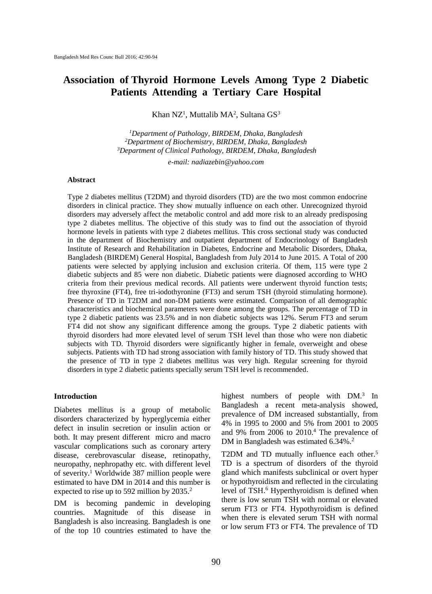# **Association of Thyroid Hormone Levels Among Type 2 Diabetic Patients Attending a Tertiary Care Hospital**

Khan NZ<sup>1</sup>, Muttalib MA<sup>2</sup>, Sultana GS<sup>3</sup>

*<sup>1</sup>Department of Pathology, BIRDEM, Dhaka, Bangladesh <sup>2</sup>Department of Biochemistry, BIRDEM, Dhaka, Bangladesh <sup>3</sup>Department of Clinical Pathology, BIRDEM, Dhaka, Bangladesh*

*e-mail: nadiazebin@yahoo.com*

#### **Abstract**

Type 2 diabetes mellitus (T2DM) and thyroid disorders (TD) are the two most common endocrine disorders in clinical practice. They show mutually influence on each other. Unrecognized thyroid disorders may adversely affect the metabolic control and add more risk to an already predisposing type 2 diabetes mellitus. The objective of this study was to find out the association of thyroid hormone levels in patients with type 2 diabetes mellitus. This cross sectional study was conducted in the department of Biochemistry and outpatient department of Endocrinology of Bangladesh Institute of Research and Rehabilitation in Diabetes, Endocrine and Metabolic Disorders, Dhaka, Bangladesh (BIRDEM) General Hospital, Bangladesh from July 2014 to June 2015. A Total of 200 patients were selected by applying inclusion and exclusion criteria. Of them, 115 were type 2 diabetic subjects and 85 were non diabetic. Diabetic patients were diagnosed according to WHO criteria from their previous medical records. All patients were underwent thyroid function tests; free thyroxine (FT4), free tri-iodothyronine (FT3) and serum TSH (thyroid stimulating hormone). Presence of TD in T2DM and non-DM patients were estimated. Comparison of all demographic characteristics and biochemical parameters were done among the groups. The percentage of TD in type 2 diabetic patients was 23.5% and in non diabetic subjects was 12%. Serum FT3 and serum FT4 did not show any significant difference among the groups. Type 2 diabetic patients with thyroid disorders had more elevated level of serum TSH level than those who were non diabetic subjects with TD. Thyroid disorders were significantly higher in female, overweight and obese subjects. Patients with TD had strong association with family history of TD. This study showed that the presence of TD in type 2 diabetes mellitus was very high. Regular screening for thyroid disorders in type 2 diabetic patients specially serum TSH level is recommended.

#### **Introduction**

Diabetes mellitus is a group of metabolic disorders characterized by hyperglycemia either defect in insulin secretion or insulin action or both. It may present different micro and macro vascular complications such as coronary artery disease, cerebrovascular disease, retinopathy, neuropathy, nephropathy etc. with different level of severity.<sup>1</sup> Worldwide 387 million people were estimated to have DM in 2014 and this number is expected to rise up to 592 million by 2035.<sup>2</sup>

DM is becoming pandemic in developing countries. Magnitude of this disease in Bangladesh is also increasing. Bangladesh is one of the top 10 countries estimated to have the

highest numbers of people with DM.<sup>3</sup> In Bangladesh a recent meta-analysis showed, prevalence of DM increased substantially, from 4% in 1995 to 2000 and 5% from 2001 to 2005 and 9% from 2006 to 2010.<sup>4</sup> The prevalence of DM in Bangladesh was estimated 6.34%. 2

T2DM and TD mutually influence each other.<sup>5</sup> TD is a spectrum of disorders of the thyroid gland which manifests subclinical or overt hyper or hypothyroidism and reflected in the circulating level of TSH.<sup>6</sup> Hyperthyroidism is defined when there is low serum TSH with normal or elevated serum FT3 or FT4. Hypothyroidism is defined when there is elevated serum TSH with normal or low serum FT3 or FT4. The prevalence of TD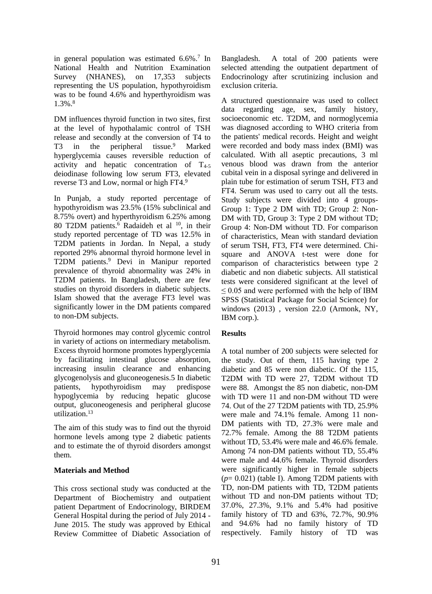in general population was estimated 6.6%.<sup>7</sup> In National Health and Nutrition Examination Survey (NHANES), on 17,353 subjects representing the US population, hypothyroidism was to be found 4.6% and hyperthyroidism was 1.3%.<sup>8</sup>

DM influences thyroid function in two sites, first at the level of hypothalamic control of TSH release and secondly at the conversion of T4 to T3 in the peripheral tissue.<sup>9</sup> Marked hyperglycemia causes reversible reduction of activity and hepatic concentration of  $T_{4-5}$ deiodinase following low serum FT3, elevated reverse T3 and Low, normal or high FT4.<sup>9</sup>

In Punjab, a study reported percentage of hypothyroidism was 23.5% (15% subclinical and 8.75% overt) and hyperthyroidism 6.25% among 80 T2DM patients.<sup>6</sup> Radaideh et al <sup>10</sup>, in their study reported percentage of TD was 12.5% in T2DM patients in Jordan. In Nepal, a study reported 29% abnormal thyroid hormone level in T2DM patients.<sup>9</sup> Devi in Manipur reported prevalence of thyroid abnormality was 24% in T2DM patients. In Bangladesh, there are few studies on thyroid disorders in diabetic subjects. Islam showed that the average FT3 level was significantly lower in the DM patients compared to non-DM subjects.

Thyroid hormones may control glycemic control in variety of actions on intermediary metabolism. Excess thyroid hormone promotes hyperglycemia by facilitating intestinal glucose absorption, increasing insulin clearance and enhancing glycogenolysis and gluconeogenesis.5 In diabetic patients, hypothyroidism may predispose hypoglycemia by reducing hepatic glucose output, gluconeogenesis and peripheral glucose utilization.<sup>13</sup>

The aim of this study was to find out the thyroid hormone levels among type 2 diabetic patients and to estimate the of thyroid disorders amongst them.

### **Materials and Method**

This cross sectional study was conducted at the Department of Biochemistry and outpatient patient Department of Endocrinology, BIRDEM General Hospital during the period of July 2014 - June 2015. The study was approved by Ethical Review Committee of Diabetic Association of Bangladesh. A total of 200 patients were selected attending the outpatient department of Endocrinology after scrutinizing inclusion and exclusion criteria.

A structured questionnaire was used to collect data regarding age, sex, family history, socioeconomic etc. T2DM, and normoglycemia was diagnosed according to WHO criteria from the patients' medical records. Height and weight were recorded and body mass index (BMI) was calculated. With all aseptic precautions, 3 ml venous blood was drawn from the anterior cubital vein in a disposal syringe and delivered in plain tube for estimation of serum TSH, FT3 and FT4. Serum was used to carry out all the tests. Study subjects were divided into 4 groups-Group 1: Type 2 DM with TD; Group 2: Non-DM with TD, Group 3: Type 2 DM without TD; Group 4: Non-DM without TD. For comparison of characteristics, Mean with standard deviation of serum TSH, FT3, FT4 were determined. Chisquare and ANOVA t-test were done for comparison of characteristics between type 2 diabetic and non diabetic subjects. All statistical tests were considered significant at the level of  $\leq$  0.05 and were performed with the help of IBM SPSS (Statistical Package for Social Science) for windows (2013) , version 22.0 (Armonk, NY, IBM corp.).

## **Results**

A total number of 200 subjects were selected for the study. Out of them, 115 having type 2 diabetic and 85 were non diabetic. Of the 115, T2DM with TD were 27, T2DM without TD were 88. Amongst the 85 non diabetic, non-DM with TD were 11 and non-DM without TD were 74. Out of the 27 T2DM patients with TD, 25.9% were male and 74.1% female. Among 11 non-DM patients with TD, 27.3% were male and 72.7% female. Among the 88 T2DM patients without TD, 53.4% were male and 46.6% female. Among 74 non-DM patients without TD, 55.4% were male and 44.6% female. Thyroid disorders were significantly higher in female subjects (*p*= 0.021) (table I). Among T2DM patients with TD, non-DM patients with TD, T2DM patients without TD and non-DM patients without TD; 37.0%, 27.3%, 9.1% and 5.4% had positive family history of TD and 63%, 72.7%, 90.9% and 94.6% had no family history of TD respectively. Family history of TD was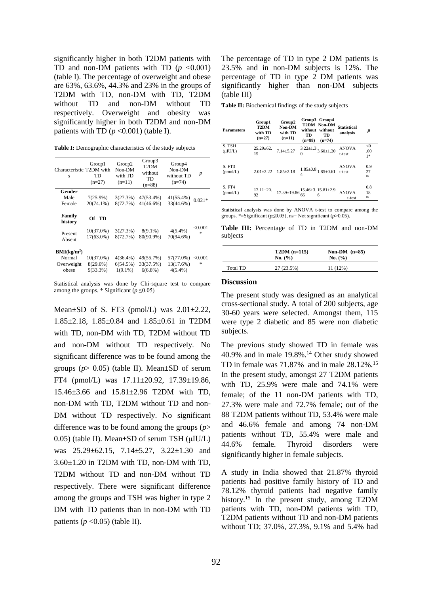significantly higher in both T2DM patients with TD and non-DM patients with TD  $(p \le 0.001)$ (table I). The percentage of overweight and obese are 63%, 63.6%, 44.3% and 23% in the groups of T2DM with TD, non-DM with TD, T2DM without TD and non-DM without TD respectively. Overweight and obesity was significantly higher in both T2DM and non-DM patients with TD  $(p \le 0.001)$  (table I).

Table I: Demographic characteristics of the study subjects

| Characteristic T2DM with<br>s | Group1<br>TD<br>$(n=27)$ | Group <sub>2</sub><br>Non-DM<br>with TD<br>$(n=11)$ | Group3<br>T <sub>2</sub> DM<br>without<br>TD<br>$(n=88)$ | Group4<br>Non-DM<br>without TD<br>$(n=74)$ | $\boldsymbol{p}$         |
|-------------------------------|--------------------------|-----------------------------------------------------|----------------------------------------------------------|--------------------------------------------|--------------------------|
| Gender                        |                          |                                                     |                                                          |                                            |                          |
| Male                          | $7(25.9\%)$              | 3(27.3%)                                            | 47(53.4%)                                                | 41(55.4%)                                  | $0.021*$                 |
| Female                        | $20(74.1\%)$             | 8(72.7%)                                            | $41(46.6\%)$                                             | 33(44.6%)                                  |                          |
| Family<br>history             | Of TD                    |                                                     |                                                          |                                            |                          |
|                               | $10(37.0\%)$             | 3(27.3%)                                            | $8(9.1\%)$                                               | $4(5.4\%)$                                 | $<$ 0.001 $\,$<br>$\ast$ |
| Present<br>Absent             | 17(63.0%)                | 8(72.7%)                                            | 80(90.9%)                                                | 70(94.6%)                                  |                          |
| BMI(kg/m <sup>2</sup> )       |                          |                                                     |                                                          |                                            |                          |
| Normal                        | $10(37.0\%)$             | $4(36.4\%)$                                         | 49(55.7%)                                                | 57(77.0%)                                  | < 0.001                  |
| Overweight                    | $8(29.6\%)$              | 6(54.5%)                                            | 33(37.5%)                                                | 13(17.6%)                                  | $\ast$                   |
| obese                         | 9(33.3%)                 | $1(9.1\%)$                                          | $6(6.8\%)$                                               | $4(5.4\%)$                                 |                          |

Statistical analysis was done by Chi-square test to compare among the groups. \* Significant ( $p \le 0.05$ )

Mean $\pm$ SD of S. FT3 (pmol/L) was  $2.01\pm2.22$ , 1.85±2.18, 1.85±0.84 and 1.85±0.61 in T2DM with TD, non-DM with TD, T2DM without TD and non-DM without TD respectively. No significant difference was to be found among the groups ( $p > 0.05$ ) (table II). Mean $\pm$ SD of serum FT4 (pmol/L) was 17.11±20.92, 17.39±19.86, 15.46±3.66 and 15.81±2.96 T2DM with TD, non-DM with TD, T2DM without TD and non-DM without TD respectively. No significant difference was to be found among the groups (*p*> 0.05) (table II). Mean±SD of serum TSH (μIU/L) was 25.29±62.15, 7.14±5.27, 3.22±1.30 and 3.60±1.20 in T2DM with TD, non-DM with TD, T2DM without TD and non-DM without TD respectively. There were significant difference among the groups and TSH was higher in type 2 DM with TD patients than in non-DM with TD patients  $(p \le 0.05)$  (table II).

The percentage of TD in type 2 DM patients is 23.5% and in non-DM subjects is 12%. The percentage of TD in type 2 DM patients was significantly higher than non-DM subjects (table III)

**Table II:** Biochemical findings of the study subjects

| <b>Parameters</b>  | Group1<br>T2DM<br>with TD<br>$(n=27)$ | Group2<br>Non-DM<br>with TD<br>$(n=11)$ | Group3 Group4<br>T2DM Non-DM<br>without without<br>TD<br>TD<br>$(n=88)$<br>$(n=74)$ | <b>Statistical</b><br>analysis | p                                    |
|--------------------|---------------------------------------|-----------------------------------------|-------------------------------------------------------------------------------------|--------------------------------|--------------------------------------|
| S. TSH<br>(uIU/L)  | $25.29 \pm 62.$<br>15                 | $7.14 + 5.27$                           | $^{3.22\pm1.3}$ $_{3.60\pm1.20}$<br>$\Omega$                                        | <b>ANOVA</b><br>t-test         | $\leq 0$<br>.00 <sub>0</sub><br>$1*$ |
| S. FT3<br>(pmol/L) | $2.01 + 2.22$                         | $1.85 \pm 2.18$                         | $1.85{\pm}0.8$ $1.85{\pm}0.61$<br>4                                                 | <b>ANOVA</b><br>t-test         | 0.9<br>27<br>ns                      |
| S. FT4<br>(pmol/L) | $17.11 + 20.$<br>92                   |                                         | $17.39 \pm 19.86 \frac{15.46 \pm 3.15.81 \pm 2.9}{66}$                              | <b>ANOVA</b><br>t-test         | 0.8<br>18<br>ns                      |

Statistical analysis was done by ANOVA t-test to compare among the groups. \*=Significant ( $p \le 0.05$ ), ns= Not significant ( $p > 0.05$ ).

**Table III:** Percentage of TD in T2DM and non-DM subjects

|          | $T2DM (n=115)$<br>No. (%) | Non-DM $(n=85)$<br>No. $(%$ ) |
|----------|---------------------------|-------------------------------|
| Total TD | 27(23.5%)                 | 11 (12%)                      |

#### **Discussion**

The present study was designed as an analytical cross-sectional study. A total of 200 subjects, age 30-60 years were selected. Amongst them, 115 were type 2 diabetic and 85 were non diabetic subjects.

The previous study showed TD in female was 40.9% and in male  $19.8\%$ .<sup>14</sup> Other study showed TD in female was  $71.87\%$  and in male  $28.12\%$ <sup>15</sup> In the present study, amongst 27 T2DM patients with TD, 25.9% were male and 74.1% were female; of the 11 non-DM patients with TD, 27.3% were male and 72.7% female; out of the 88 T2DM patients without TD, 53.4% were male and 46.6% female and among 74 non-DM patients without TD, 55.4% were male and 44.6% female. Thyroid disorders were significantly higher in female subjects.

A study in India showed that 21.87% thyroid patients had positive family history of TD and 78.12% thyroid patients had negative family history.<sup>15</sup> In the present study, among T2DM patients with TD, non-DM patients with TD, T2DM patients without TD and non-DM patients without TD; 37.0%, 27.3%, 9.1% and 5.4% had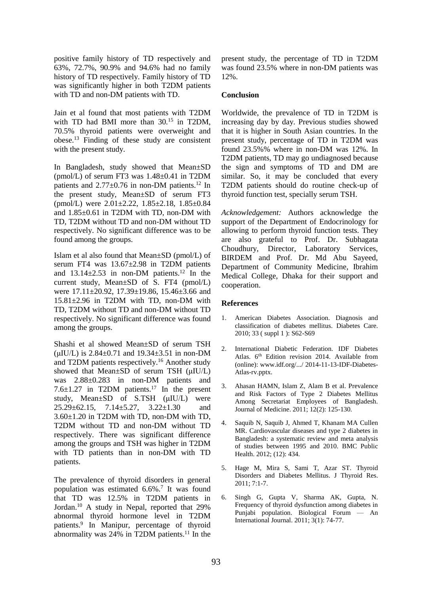positive family history of TD respectively and 63%, 72.7%, 90.9% and 94.6% had no family history of TD respectively. Family history of TD was significantly higher in both T2DM patients with TD and non-DM patients with TD.

Jain et al found that most patients with T2DM with TD had BMI more than  $30^{15}$  in T2DM, 70.5% thyroid patients were overweight and obese.<sup>13</sup> Finding of these study are consistent with the present study.

In Bangladesh, study showed that Mean±SD (pmol/L) of serum FT3 was 1.48±0.41 in T2DM patients and 2.77±0.76 in non-DM patients.<sup>12</sup> In the present study, Mean±SD of serum FT3 (pmol/L) were 2.01±2.22, 1.85±2.18, 1.85±0.84 and 1.85±0.61 in T2DM with TD, non-DM with TD, T2DM without TD and non-DM without TD respectively. No significant difference was to be found among the groups.

Islam et al also found that Mean±SD (pmol/L) of serum FT4 was 13.67±2.98 in T2DM patients and  $13.14\pm2.53$  in non-DM patients.<sup>12</sup> In the current study, Mean±SD of S. FT4 (pmol/L) were 17.11±20.92, 17.39±19.86, 15.46±3.66 and 15.81±2.96 in T2DM with TD, non-DM with TD, T2DM without TD and non-DM without TD respectively. No significant difference was found among the groups.

Shashi et al showed Mean±SD of serum TSH ( $\mu$ IU/L) is 2.84 $\pm$ 0.71 and 19.34 $\pm$ 3.51 in non-DM and T2DM patients respectively.<sup>16</sup> Another study showed that Mean±SD of serum TSH (μIU/L) was 2.88±0.283 in non-DM patients and 7.6 $\pm$ 1.27 in T2DM patients.<sup>17</sup> In the present study, Mean±SD of S.TSH (μIU/L) were 25.29±62.15, 7.14±5.27, 3.22±1.30 and 3.60±1.20 in T2DM with TD, non-DM with TD, T2DM without TD and non-DM without TD respectively. There was significant difference among the groups and TSH was higher in T2DM with TD patients than in non-DM with TD patients.

The prevalence of thyroid disorders in general population was estimated 6.6%.<sup>7</sup> It was found that TD was 12.5% in T2DM patients in Jordan.<sup>10</sup> A study in Nepal, reported that 29% abnormal thyroid hormone level in T2DM patients.<sup>9</sup> In Manipur, percentage of thyroid abnormality was  $24\%$  in T2DM patients.<sup>11</sup> In the

present study, the percentage of TD in T2DM was found 23.5% where in non-DM patients was 12%.

### **Conclusion**

Worldwide, the prevalence of TD in T2DM is increasing day by day. Previous studies showed that it is higher in South Asian countries. In the present study, percentage of TD in T2DM was found 23.5%% where in non-DM was 12%. In T2DM patients, TD may go undiagnosed because the sign and symptoms of TD and DM are similar. So, it may be concluded that every T2DM patients should do routine check-up of thyroid function test, specially serum TSH.

*Acknowledgement:* Authors acknowledge the support of the Department of Endocrinology for allowing to perform thyroid function tests. They are also grateful to Prof. Dr. Subhagata Choudhury, Director, Laboratory Services, BIRDEM and Prof. Dr. Md Abu Sayeed, Department of Community Medicine, Ibrahim Medical College, Dhaka for their support and cooperation.

### **References**

- 1. American Diabetes Association. Diagnosis and classification of diabetes mellitus. Diabetes Care. 2010; 33 ( suppl 1 ): S62-S69
- 2. International Diabetic Federation. IDF Diabetes Atlas. 6<sup>th</sup> Edition revision 2014. Available from (online)[: www.idf.org/.../ 2014-11-13-IDF-Diabetes-](http://www.idf.org/.../%202014-11-13-IDF-Diabetes-Atlas-rv.pptx)[Atlas-rv.pptx.](http://www.idf.org/.../%202014-11-13-IDF-Diabetes-Atlas-rv.pptx)
- 3. Ahasan HAMN, Islam Z, Alam B et al. Prevalence and Risk Factors of Type 2 Diabetes Mellitus Among Secretariat Employees of Bangladesh. Journal of Medicine. 2011; 12(2): 125-130.
- Saquib N, Saquib J, Ahmed T, Khanam MA Cullen MR. Cardiovascular diseases and type 2 diabetes in Bangladesh: a systematic review and meta analysis of studies between 1995 and 2010. BMC Public Health. 2012; (12): 434.
- 5. Hage M, Mira S, Sami T, Azar ST. Thyroid Disorders and Diabetes Mellitus. J Thyroid Res. 2011; 7:1-7.
- 6. Singh G, Gupta V, Sharma AK, Gupta, N. Frequency of thyroid dysfunction among diabetes in Punjabi population. Biological Forum — An International Journal. 2011; 3(1): 74-77.